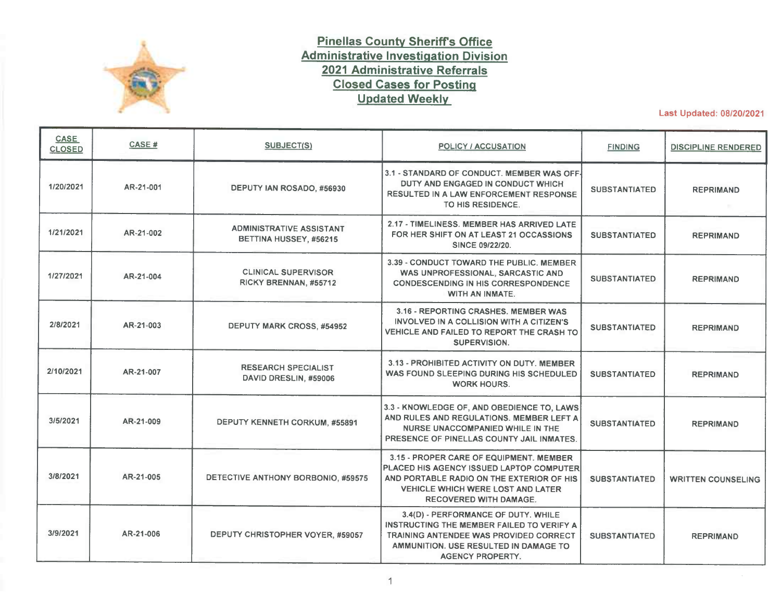

## **Pinellas County Sheriffs Office Administrative Investigation Division 2021 Administrative Referrals Closed Cases for Posting Updated Weekly**

Last Updated: 08/20/2021

| CASE<br><b>CLOSED</b> | CASE#     | SUBJECT(S)                                                | POLICY / ACCUSATION                                                                                                                                                                                           | <b>FINDING</b>       | <b>DISCIPLINE RENDERED</b> |
|-----------------------|-----------|-----------------------------------------------------------|---------------------------------------------------------------------------------------------------------------------------------------------------------------------------------------------------------------|----------------------|----------------------------|
| 1/20/2021             | AR-21-001 | DEPUTY IAN ROSADO, #56930                                 | 3.1 - STANDARD OF CONDUCT. MEMBER WAS OFF-<br>DUTY AND ENGAGED IN CONDUCT WHICH<br>RESULTED IN A LAW ENFORCEMENT RESPONSE<br>TO HIS RESIDENCE.                                                                | <b>SUBSTANTIATED</b> | <b>REPRIMAND</b>           |
| 1/21/2021             | AR-21-002 | <b>ADMINISTRATIVE ASSISTANT</b><br>BETTINA HUSSEY, #56215 | 2.17 - TIMELINESS, MEMBER HAS ARRIVED LATE<br>FOR HER SHIFT ON AT LEAST 21 OCCASSIONS<br>SINCE 09/22/20.                                                                                                      | <b>SUBSTANTIATED</b> | <b>REPRIMAND</b>           |
| 1/27/2021             | AR-21-004 | <b>CLINICAL SUPERVISOR</b><br>RICKY BRENNAN, #55712       | 3.39 - CONDUCT TOWARD THE PUBLIC, MEMBER<br>WAS UNPROFESSIONAL, SARCASTIC AND<br><b>CONDESCENDING IN HIS CORRESPONDENCE</b><br>WITH AN INMATE.                                                                | <b>SUBSTANTIATED</b> | <b>REPRIMAND</b>           |
| 2/8/2021              | AR-21-003 | DEPUTY MARK CROSS, #54952                                 | 3.16 - REPORTING CRASHES. MEMBER WAS<br>INVOLVED IN A COLLISION WITH A CITIZEN'S<br>VEHICLE AND FAILED TO REPORT THE CRASH TO<br>SUPERVISION.                                                                 | <b>SUBSTANTIATED</b> | <b>REPRIMAND</b>           |
| 2/10/2021             | AR-21-007 | <b>RESEARCH SPECIALIST</b><br>DAVID DRESLIN, #59006       | 3.13 - PROHIBITED ACTIVITY ON DUTY. MEMBER<br>WAS FOUND SLEEPING DURING HIS SCHEDULED<br><b>WORK HOURS.</b>                                                                                                   | <b>SUBSTANTIATED</b> | <b>REPRIMAND</b>           |
| 3/5/2021              | AR-21-009 | DEPUTY KENNETH CORKUM, #55891                             | 3.3 - KNOWLEDGE OF, AND OBEDIENCE TO, LAWS<br>AND RULES AND REGULATIONS. MEMBER LEFT A<br>NURSE UNACCOMPANIED WHILE IN THE<br>PRESENCE OF PINELLAS COUNTY JAIL INMATES.                                       | <b>SUBSTANTIATED</b> | <b>REPRIMAND</b>           |
| 3/8/2021              | AR-21-005 | DETECTIVE ANTHONY BORBONIO, #59575                        | 3.15 - PROPER CARE OF EQUIPMENT. MEMBER<br>PLACED HIS AGENCY ISSUED LAPTOP COMPUTER<br>AND PORTABLE RADIO ON THE EXTERIOR OF HIS<br><b>VEHICLE WHICH WERE LOST AND LATER</b><br><b>RECOVERED WITH DAMAGE.</b> | <b>SUBSTANTIATED</b> | <b>WRITTEN COUNSELING</b>  |
| 3/9/2021              | AR-21-006 | DEPUTY CHRISTOPHER VOYER, #59057                          | 3.4(D) - PERFORMANCE OF DUTY, WHILE<br>INSTRUCTING THE MEMBER FAILED TO VERIFY A<br>TRAINING ANTENDEE WAS PROVIDED CORRECT<br>AMMUNITION, USE RESULTED IN DAMAGE TO<br><b>AGENCY PROPERTY.</b>                | <b>SUBSTANTIATED</b> | <b>REPRIMAND</b>           |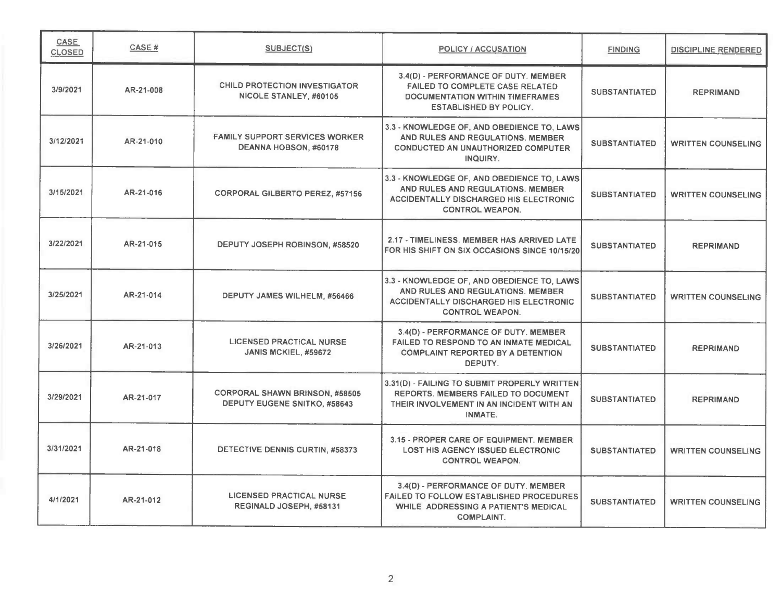| CASE<br><b>CLOSED</b> | <b>CASE#</b> | SUBJECT(S)                                                            | <b>POLICY / ACCUSATION</b>                                                                                                                                 | <b>FINDING</b>       | <b>DISCIPLINE RENDERED</b> |
|-----------------------|--------------|-----------------------------------------------------------------------|------------------------------------------------------------------------------------------------------------------------------------------------------------|----------------------|----------------------------|
| 3/9/2021              | AR-21-008    | <b>CHILD PROTECTION INVESTIGATOR</b><br>NICOLE STANLEY, #60105        | 3.4(D) - PERFORMANCE OF DUTY. MEMBER<br><b>FAILED TO COMPLETE CASE RELATED</b><br><b>DOCUMENTATION WITHIN TIMEFRAMES</b><br><b>ESTABLISHED BY POLICY.</b>  | <b>SUBSTANTIATED</b> | <b>REPRIMAND</b>           |
| 3/12/2021             | AR-21-010    | <b>FAMILY SUPPORT SERVICES WORKER</b><br>DEANNA HOBSON, #60178        | 3.3 - KNOWLEDGE OF, AND OBEDIENCE TO, LAWS<br>AND RULES AND REGULATIONS. MEMBER<br>CONDUCTED AN UNAUTHORIZED COMPUTER<br>INQUIRY.                          | <b>SUBSTANTIATED</b> | <b>WRITTEN COUNSELING</b>  |
| 3/15/2021             | AR-21-016    | <b>CORPORAL GILBERTO PEREZ, #57156</b>                                | 3.3 - KNOWLEDGE OF, AND OBEDIENCE TO, LAWS<br>AND RULES AND REGULATIONS. MEMBER<br><b>ACCIDENTALLY DISCHARGED HIS ELECTRONIC</b><br><b>CONTROL WEAPON.</b> | <b>SUBSTANTIATED</b> | <b>WRITTEN COUNSELING</b>  |
| 3/22/2021             | AR-21-015    | DEPUTY JOSEPH ROBINSON, #58520                                        | 2.17 - TIMELINESS, MEMBER HAS ARRIVED LATE<br>FOR HIS SHIFT ON SIX OCCASIONS SINCE 10/15/20                                                                | <b>SUBSTANTIATED</b> | <b>REPRIMAND</b>           |
| 3/25/2021             | AR-21-014    | DEPUTY JAMES WILHELM, #56466                                          | 3.3 - KNOWLEDGE OF, AND OBEDIENCE TO, LAWS<br>AND RULES AND REGULATIONS. MEMBER<br><b>ACCIDENTALLY DISCHARGED HIS ELECTRONIC</b><br><b>CONTROL WEAPON.</b> | <b>SUBSTANTIATED</b> | <b>WRITTEN COUNSELING</b>  |
| 3/26/2021             | AR-21-013    | LICENSED PRACTICAL NURSE<br>JANIS MCKIEL, #59672                      | 3.4(D) - PERFORMANCE OF DUTY. MEMBER<br>FAILED TO RESPOND TO AN INMATE MEDICAL<br><b>COMPLAINT REPORTED BY A DETENTION</b><br>DEPUTY.                      | <b>SUBSTANTIATED</b> | <b>REPRIMAND</b>           |
| 3/29/2021             | AR-21-017    | <b>CORPORAL SHAWN BRINSON, #58505</b><br>DEPUTY EUGENE SNITKO, #58643 | 3.31(D) - FAILING TO SUBMIT PROPERLY WRITTEN<br>REPORTS. MEMBERS FAILED TO DOCUMENT<br>THEIR INVOLVEMENT IN AN INCIDENT WITH AN<br><b>INMATE.</b>          | <b>SUBSTANTIATED</b> | <b>REPRIMAND</b>           |
| 3/31/2021             | AR-21-018    | DETECTIVE DENNIS CURTIN, #58373                                       | 3.15 - PROPER CARE OF EQUIPMENT. MEMBER<br><b>LOST HIS AGENCY ISSUED ELECTRONIC</b><br><b>CONTROL WEAPON.</b>                                              | <b>SUBSTANTIATED</b> | <b>WRITTEN COUNSELING</b>  |
| 4/1/2021              | AR-21-012    | <b>LICENSED PRACTICAL NURSE</b><br>REGINALD JOSEPH, #58131            | 3.4(D) - PERFORMANCE OF DUTY. MEMBER<br><b>FAILED TO FOLLOW ESTABLISHED PROCEDURES</b><br>WHILE ADDRESSING A PATIENT'S MEDICAL<br><b>COMPLAINT.</b>        | <b>SUBSTANTIATED</b> | <b>WRITTEN COUNSELING</b>  |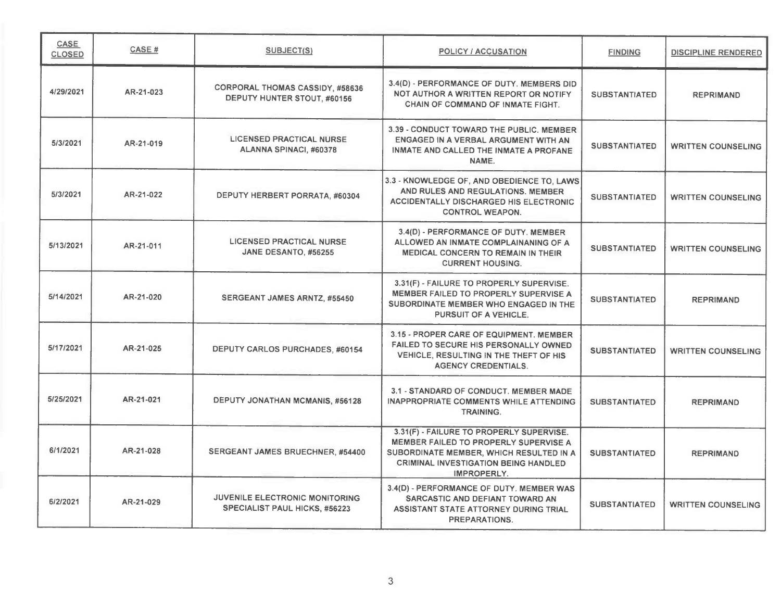| CASE<br><b>CLOSED</b> | CASE#     | SUBJECT(S)                                                                    | <b>POLICY / ACCUSATION</b>                                                                                                                                                                 | <b>FINDING</b>       | <b>DISCIPLINE RENDERED</b> |
|-----------------------|-----------|-------------------------------------------------------------------------------|--------------------------------------------------------------------------------------------------------------------------------------------------------------------------------------------|----------------------|----------------------------|
| 4/29/2021             | AR-21-023 | <b>CORPORAL THOMAS CASSIDY, #58636</b><br>DEPUTY HUNTER STOUT, #60156         | 3.4(D) - PERFORMANCE OF DUTY. MEMBERS DID<br>NOT AUTHOR A WRITTEN REPORT OR NOTIFY.<br><b>CHAIN OF COMMAND OF INMATE FIGHT.</b>                                                            | <b>SUBSTANTIATED</b> | <b>REPRIMAND</b>           |
| 5/3/2021              | AR-21-019 | <b>LICENSED PRACTICAL NURSE</b><br>ALANNA SPINACI, #60378                     | 3.39 - CONDUCT TOWARD THE PUBLIC, MEMBER<br>ENGAGED IN A VERBAL ARGUMENT WITH AN<br>INMATE AND CALLED THE INMATE A PROFANE<br>NAME.                                                        | <b>SUBSTANTIATED</b> | <b>WRITTEN COUNSELING</b>  |
| 5/3/2021              | AR-21-022 | DEPUTY HERBERT PORRATA, #60304                                                | 3.3 - KNOWLEDGE OF, AND OBEDIENCE TO, LAWS<br>AND RULES AND REGULATIONS, MEMBER<br><b>ACCIDENTALLY DISCHARGED HIS ELECTRONIC</b><br><b>CONTROL WEAPON.</b>                                 | <b>SUBSTANTIATED</b> | <b>WRITTEN COUNSELING</b>  |
| 5/13/2021             | AR-21-011 | <b>LICENSED PRACTICAL NURSE</b><br>JANE DESANTO, #56255                       | 3.4(D) - PERFORMANCE OF DUTY. MEMBER<br>ALLOWED AN INMATE COMPLAINANING OF A<br><b>MEDICAL CONCERN TO REMAIN IN THEIR</b><br><b>CURRENT HOUSING.</b>                                       | <b>SUBSTANTIATED</b> | <b>WRITTEN COUNSELING</b>  |
| 5/14/2021             | AR-21-020 | SERGEANT JAMES ARNTZ, #55450                                                  | 3.31(F) - FAILURE TO PROPERLY SUPERVISE.<br>MEMBER FAILED TO PROPERLY SUPERVISE A<br>SUBORDINATE MEMBER WHO ENGAGED IN THE<br>PURSUIT OF A VEHICLE.                                        | <b>SUBSTANTIATED</b> | <b>REPRIMAND</b>           |
| 5/17/2021             | AR-21-025 | <b>DEPUTY CARLOS PURCHADES, #60154</b>                                        | 3.15 - PROPER CARE OF EQUIPMENT. MEMBER<br>FAILED TO SECURE HIS PERSONALLY OWNED<br>VEHICLE, RESULTING IN THE THEFT OF HIS<br><b>AGENCY CREDENTIALS.</b>                                   | <b>SUBSTANTIATED</b> | <b>WRITTEN COUNSELING</b>  |
| 5/25/2021             | AR-21-021 | DEPUTY JONATHAN MCMANIS, #56128                                               | 3.1 - STANDARD OF CONDUCT. MEMBER MADE<br><b>INAPPROPRIATE COMMENTS WHILE ATTENDING</b><br><b>TRAINING.</b>                                                                                | <b>SUBSTANTIATED</b> | <b>REPRIMAND</b>           |
| 6/1/2021              | AR-21-028 | SERGEANT JAMES BRUECHNER, #54400                                              | 3.31(F) - FAILURE TO PROPERLY SUPERVISE.<br>MEMBER FAILED TO PROPERLY SUPERVISE A<br>SUBORDINATE MEMBER, WHICH RESULTED IN A<br><b>CRIMINAL INVESTIGATION BEING HANDLED</b><br>IMPROPERLY. | <b>SUBSTANTIATED</b> | <b>REPRIMAND</b>           |
| 6/2/2021              | AR-21-029 | <b>JUVENILE ELECTRONIC MONITORING</b><br><b>SPECIALIST PAUL HICKS, #56223</b> | 3.4(D) - PERFORMANCE OF DUTY. MEMBER WAS<br>SARCASTIC AND DEFIANT TOWARD AN<br>ASSISTANT STATE ATTORNEY DURING TRIAL<br>PREPARATIONS.                                                      | <b>SUBSTANTIATED</b> | <b>WRITTEN COUNSELING</b>  |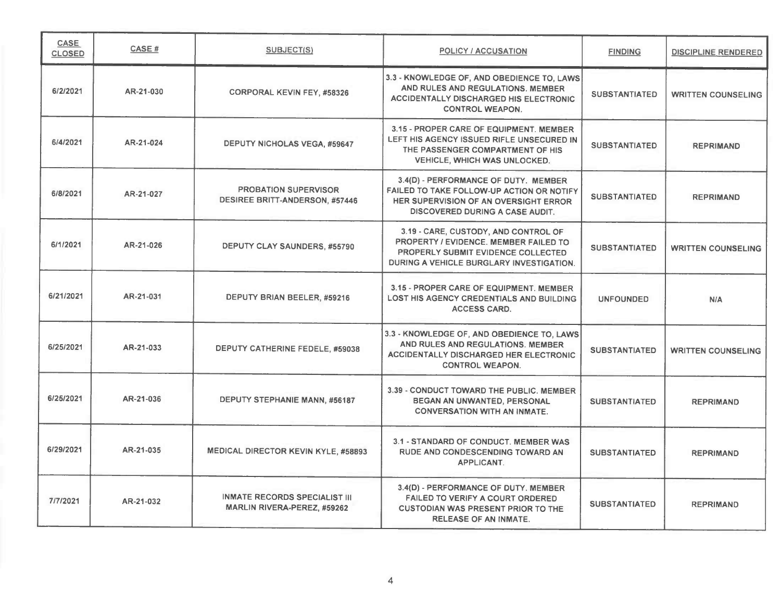| <b>CASE</b><br><b>CLOSED</b> | <b>CASE#</b> | <b>SUBJECT(S)</b>                                                    | <b>POLICY / ACCUSATION</b>                                                                                                                                             | <b>FINDING</b>       | <b>DISCIPLINE RENDERED</b> |
|------------------------------|--------------|----------------------------------------------------------------------|------------------------------------------------------------------------------------------------------------------------------------------------------------------------|----------------------|----------------------------|
| 6/2/2021                     | AR-21-030    | <b>CORPORAL KEVIN FEY, #58326</b>                                    | 3.3 - KNOWLEDGE OF, AND OBEDIENCE TO, LAWS<br>AND RULES AND REGULATIONS. MEMBER<br><b>ACCIDENTALLY DISCHARGED HIS ELECTRONIC</b><br><b>CONTROL WEAPON.</b>             | <b>SUBSTANTIATED</b> | <b>WRITTEN COUNSELING</b>  |
| 6/4/2021                     | AR-21-024    | DEPUTY NICHOLAS VEGA, #59647                                         | 3.15 - PROPER CARE OF EQUIPMENT. MEMBER<br>LEFT HIS AGENCY ISSUED RIFLE UNSECURED IN<br>THE PASSENGER COMPARTMENT OF HIS<br><b>VEHICLE, WHICH WAS UNLOCKED.</b>        | <b>SUBSTANTIATED</b> | <b>REPRIMAND</b>           |
| 6/8/2021                     | AR-21-027    | <b>PROBATION SUPERVISOR</b><br><b>DESIREE BRITT-ANDERSON, #57446</b> | 3.4(D) - PERFORMANCE OF DUTY. MEMBER<br>FAILED TO TAKE FOLLOW-UP ACTION OR NOTIFY<br>HER SUPERVISION OF AN OVERSIGHT ERROR<br>DISCOVERED DURING A CASE AUDIT.          | <b>SUBSTANTIATED</b> | <b>REPRIMAND</b>           |
| 6/1/2021                     | AR-21-026    | DEPUTY CLAY SAUNDERS, #55790                                         | 3.19 - CARE, CUSTODY, AND CONTROL OF<br>PROPERTY / EVIDENCE, MEMBER FAILED TO<br><b>PROPERLY SUBMIT EVIDENCE COLLECTED</b><br>DURING A VEHICLE BURGLARY INVESTIGATION. | <b>SUBSTANTIATED</b> | <b>WRITTEN COUNSELING</b>  |
| 6/21/2021                    | AR-21-031    | DEPUTY BRIAN BEELER, #59216                                          | 3.15 - PROPER CARE OF EQUIPMENT. MEMBER<br>LOST HIS AGENCY CREDENTIALS AND BUILDING<br><b>ACCESS CARD.</b>                                                             | <b>UNFOUNDED</b>     | N/A                        |
| 6/25/2021                    | AR-21-033    | DEPUTY CATHERINE FEDELE, #59038                                      | 3.3 - KNOWLEDGE OF, AND OBEDIENCE TO, LAWS<br>AND RULES AND REGULATIONS. MEMBER<br>ACCIDENTALLY DISCHARGED HER ELECTRONIC<br><b>CONTROL WEAPON.</b>                    | <b>SUBSTANTIATED</b> | <b>WRITTEN COUNSELING</b>  |
| 6/25/2021                    | AR-21-036    | DEPUTY STEPHANIE MANN, #56187                                        | 3.39 - CONDUCT TOWARD THE PUBLIC. MEMBER<br>BEGAN AN UNWANTED, PERSONAL<br><b>CONVERSATION WITH AN INMATE.</b>                                                         | <b>SUBSTANTIATED</b> | <b>REPRIMAND</b>           |
| 6/29/2021                    | AR-21-035    | MEDICAL DIRECTOR KEVIN KYLE, #58893                                  | 3.1 - STANDARD OF CONDUCT. MEMBER WAS<br>RUDE AND CONDESCENDING TOWARD AN<br><b>APPLICANT.</b>                                                                         | <b>SUBSTANTIATED</b> | <b>REPRIMAND</b>           |
| 7/7/2021                     | AR-21-032    | <b>INMATE RECORDS SPECIALIST III</b><br>MARLIN RIVERA-PEREZ, #59262  | 3.4(D) - PERFORMANCE OF DUTY. MEMBER<br><b>FAILED TO VERIFY A COURT ORDERED</b><br><b>CUSTODIAN WAS PRESENT PRIOR TO THE</b><br><b>RELEASE OF AN INMATE.</b>           | <b>SUBSTANTIATED</b> | <b>REPRIMAND</b>           |